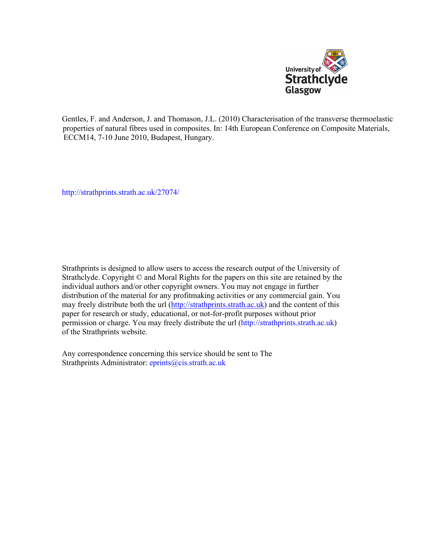

Gentles, F. and Anderson, J. and Thomason, J.L. (2010) Characterisation of the transverse thermoelastic properties of natural fibres used in composites. In: 14th European Conference on Composite Materials, ECCM14, 7-10 June 2010, Budapest, Hungary.

[http://strathprints.strath.ac.uk/](http://strathprints.strath.ac.uk/27074/)27074/

Strathprints is designed to allow users to access the research output of the University of Strathclyde. Copyright © and Moral Rights for the papers on this site are retained by the individual authors and/or other copyright owners. You may not engage in further distribution of the material for any profitmaking activities or any commercial gain. You may freely distribute both the url [\(http://strathprints.strath.ac.uk](https://nemo.strath.ac.uk/exchweb/bin/redir.asp?URL=http://eprints.cdlr.strath.ac.uk)) and the content of this paper for research or study, educational, or not-for-profit purposes without prior permission or charge. You may freely distribute the url (http://strathprints.strath.ac.uk) of the Strathprints website.

Any correspondence concerning this service should be sent to The Strathprints Administrator: eprints@cis.strath.ac.uk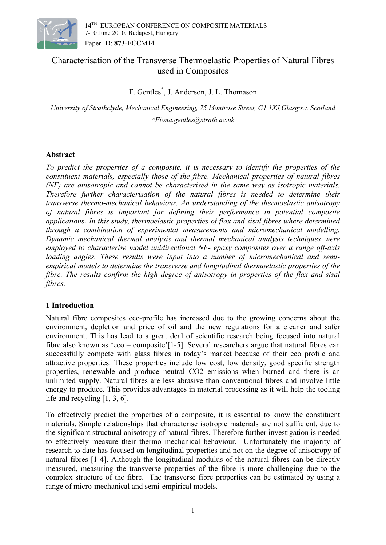

# Characterisation of the Transverse Thermoelastic Properties of Natural Fibres used in Composites

F. Gentles\* , J. Anderson, J. L. Thomason

*University of Strathclyde, Mechanical Engineering, 75 Montrose Street, G1 1XJ,Glasgow, Scotland \*Fiona.gentles@strath.ac.uk* 

# **Abstract**

*To predict the properties of a composite, it is necessary to identify the properties of the constituent materials, especially those of the fibre. Mechanical properties of natural fibres (NF) are anisotropic and cannot be characterised in the same way as isotropic materials. Therefore further characterisation of the natural fibres is needed to determine their transverse thermo-mechanical behaviour. An understanding of the thermoelastic anisotropy of natural fibres is important for defining their performance in potential composite applications*. *In this study, thermoelastic properties of flax and sisal fibres where determined through a combination of experimental measurements and micromechanical modelling. Dynamic mechanical thermal analysis and thermal mechanical analysis techniques were employed to characterise model unidirectional NF- epoxy composites over a range off-axis loading angles. These results were input into a number of micromechanical and semiempirical models to determine the transverse and longitudinal thermoelastic properties of the fibre. The results confirm the high degree of anisotropy in properties of the flax and sisal fibres.* 

# **1 Introduction**

Natural fibre composites eco-profile has increased due to the growing concerns about the environment, depletion and price of oil and the new regulations for a cleaner and safer environment. This has lead to a great deal of scientific research being focused into natural fibre also known as 'eco – composite'[1-5]. Several researchers argue that natural fibres can successfully compete with glass fibres in today's market because of their eco profile and attractive properties. These properties include low cost, low density, good specific strength properties, renewable and produce neutral CO2 emissions when burned and there is an unlimited supply. Natural fibres are less abrasive than conventional fibres and involve little energy to produce. This provides advantages in material processing as it will help the tooling life and recycling [1, 3, 6].

To effectively predict the properties of a composite, it is essential to know the constituent materials. Simple relationships that characterise isotropic materials are not sufficient, due to the significant structural anisotropy of natural fibres. Therefore further investigation is needed to effectively measure their thermo mechanical behaviour. Unfortunately the majority of research to date has focused on longitudinal properties and not on the degree of anisotropy of natural fibres [1-4]. Although the longitudinal modulus of the natural fibres can be directly measured, measuring the transverse properties of the fibre is more challenging due to the complex structure of the fibre. The transverse fibre properties can be estimated by using a range of micro-mechanical and semi-empirical models.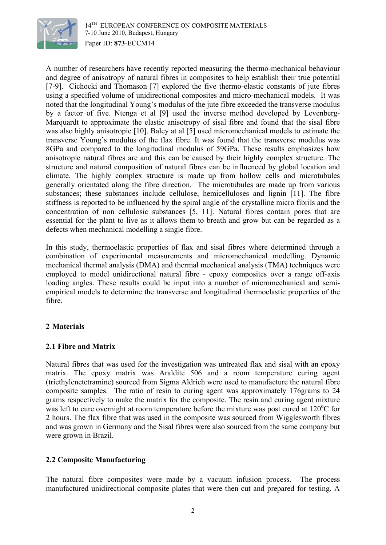

A number of researchers have recently reported measuring the thermo-mechanical behaviour and degree of anisotropy of natural fibres in composites to help establish their true potential [7-9]. Cichocki and Thomason [7] explored the five thermo-elastic constants of jute fibres using a specified volume of unidirectional composites and micro-mechanical models. It was noted that the longitudinal Young's modulus of the jute fibre exceeded the transverse modulus by a factor of five. Ntenga et al [9] used the inverse method developed by Levenberg-Marquardt to approximate the elastic anisotropy of sisal fibre and found that the sisal fibre was also highly anisotropic [10]. Baley at al [5] used micromechanical models to estimate the transverse Young's modulus of the flax fibre. It was found that the transverse modulus was 8GPa and compared to the longitudinal modulus of 59GPa. These results emphasizes how anisotropic natural fibres are and this can be caused by their highly complex structure. The structure and natural composition of natural fibres can be influenced by global location and climate. The highly complex structure is made up from hollow cells and microtubules generally orientated along the fibre direction. The microtubules are made up from various substances; these substances include cellulose, hemicelluloses and lignin [11]. The fibre stiffness is reported to be influenced by the spiral angle of the crystalline micro fibrils and the concentration of non cellulosic substances [5, 11]. Natural fibres contain pores that are essential for the plant to live as it allows them to breath and grow but can be regarded as a defects when mechanical modelling a single fibre.

In this study, thermoelastic properties of flax and sisal fibres where determined through a combination of experimental measurements and micromechanical modelling. Dynamic mechanical thermal analysis (DMA) and thermal mechanical analysis (TMA) techniques were employed to model unidirectional natural fibre - epoxy composites over a range off-axis loading angles. These results could be input into a number of micromechanical and semiempirical models to determine the transverse and longitudinal thermoelastic properties of the fibre.

### **2 Materials**

### **2.1 Fibre and Matrix**

Natural fibres that was used for the investigation was untreated flax and sisal with an epoxy matrix. The epoxy matrix was Araldite 506 and a room temperature curing agent (triethylenetetramine) sourced from Sigma Aldrich were used to manufacture the natural fibre composite samples. The ratio of resin to curing agent was approximately 176grams to 24 grams respectively to make the matrix for the composite. The resin and curing agent mixture was left to cure overnight at room temperature before the mixture was post cured at 120°C for 2 hours. The flax fibre that was used in the composite was sourced from Wigglesworth fibres and was grown in Germany and the Sisal fibres were also sourced from the same company but were grown in Brazil.

### **2.2 Composite Manufacturing**

The natural fibre composites were made by a vacuum infusion process. The process manufactured unidirectional composite plates that were then cut and prepared for testing. A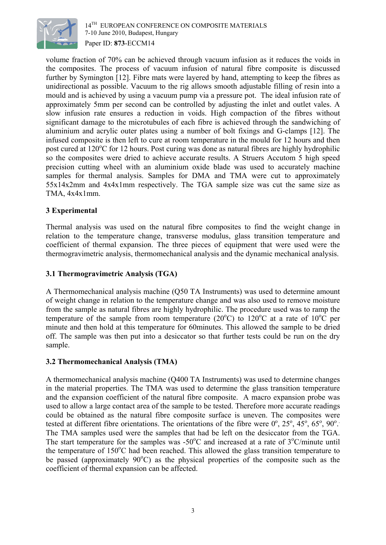

volume fraction of 70% can be achieved through vacuum infusion as it reduces the voids in the composites. The process of vacuum infusion of natural fibre composite is discussed further by Symington [12]. Fibre mats were layered by hand, attempting to keep the fibres as unidirectional as possible. Vacuum to the rig allows smooth adjustable filling of resin into a mould and is achieved by using a vacuum pump via a pressure pot. The ideal infusion rate of approximately 5mm per second can be controlled by adjusting the inlet and outlet vales. A slow infusion rate ensures a reduction in voids. High compaction of the fibres without significant damage to the microtubules of each fibre is achieved through the sandwiching of aluminium and acrylic outer plates using a number of bolt fixings and G-clamps [12]. The infused composite is then left to cure at room temperature in the mould for 12 hours and then post cured at 120°C for 12 hours. Post curing was done as natural fibres are highly hydrophilic so the composites were dried to achieve accurate results. A Struers Accutom 5 high speed precision cutting wheel with an aluminium oxide blade was used to accurately machine samples for thermal analysis. Samples for DMA and TMA were cut to approximately 55x14x2mm and 4x4x1mm respectively. The TGA sample size was cut the same size as TMA, 4x4x1mm.

### **3 Experimental**

Thermal analysis was used on the natural fibre composites to find the weight change in relation to the temperature change, transverse modulus, glass transition temperature and coefficient of thermal expansion. The three pieces of equipment that were used were the thermogravimetric analysis, thermomechanical analysis and the dynamic mechanical analysis.

### **3.1 Thermogravimetric Analysis (TGA)**

A Thermomechanical analysis machine (Q50 TA Instruments) was used to determine amount of weight change in relation to the temperature change and was also used to remove moisture from the sample as natural fibres are highly hydrophilic. The procedure used was to ramp the temperature of the sample from room temperature (20 $^{\circ}$ C) to 120 $^{\circ}$ C at a rate of 10 $^{\circ}$ C per minute and then hold at this temperature for 60minutes. This allowed the sample to be dried off. The sample was then put into a desiccator so that further tests could be run on the dry sample.

### **3.2 Thermomechanical Analysis (TMA)**

A thermomechanical analysis machine (Q400 TA Instruments) was used to determine changes in the material properties. The TMA was used to determine the glass transition temperature and the expansion coefficient of the natural fibre composite. A macro expansion probe was used to allow a large contact area of the sample to be tested. Therefore more accurate readings could be obtained as the natural fibre composite surface is uneven. The composites were tested at different fibre orientations. The orientations of the fibre were  $0^{\circ}$ ,  $25^{\circ}$ ,  $45^{\circ}$ ,  $65^{\circ}$ ,  $90^{\circ}$ . The TMA samples used were the samples that had be left on the desiccator from the TGA. The start temperature for the samples was -50 $^{\circ}$ C and increased at a rate of 3 $^{\circ}$ C/minute until the temperature of 150°C had been reached. This allowed the glass transition temperature to be passed (approximately  $90^{\circ}$ C) as the physical properties of the composite such as the coefficient of thermal expansion can be affected.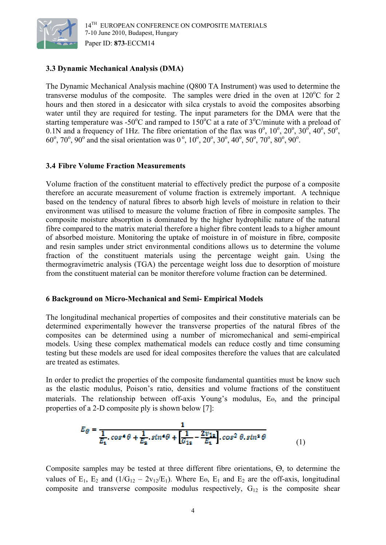

## **3.3 Dynamic Mechanical Analysis (DMA)**

The Dynamic Mechanical Analysis machine (Q800 TA Instrument) was used to determine the transverse modulus of the composite. The samples were dried in the oven at  $120^{\circ}$ C for 2 hours and then stored in a desiccator with silca crystals to avoid the composites absorbing water until they are required for testing. The input parameters for the DMA were that the starting temperature was -50°C and ramped to 150°C at a rate of  $3^{\circ}$ C/minute with a preload of 0.1N and a frequency of 1Hz. The fibre orientation of the flax was  $0^{\circ}$ ,  $10^{\circ}$ ,  $20^{\circ}$ ,  $30^{\circ}$ ,  $40^{\circ}$ ,  $50^{\circ}$ ,  $60^{\circ}$ ,  $70^{\circ}$ ,  $90^{\circ}$  and the sisal orientation was  $0^{\circ}$ ,  $10^{\circ}$ ,  $20^{\circ}$ ,  $30^{\circ}$ ,  $40^{\circ}$ ,  $50^{\circ}$ ,  $70^{\circ}$ ,  $80^{\circ}$ ,  $90^{\circ}$ .

#### **3.4 Fibre Volume Fraction Measurements**

Volume fraction of the constituent material to effectively predict the purpose of a composite therefore an accurate measurement of volume fraction is extremely important. A technique based on the tendency of natural fibres to absorb high levels of moisture in relation to their environment was utilised to measure the volume fraction of fibre in composite samples. The composite moisture absorption is dominated by the higher hydrophilic nature of the natural fibre compared to the matrix material therefore a higher fibre content leads to a higher amount of absorbed moisture. Monitoring the uptake of moisture in of moisture in fibre, composite and resin samples under strict environmental conditions allows us to determine the volume fraction of the constituent materials using the percentage weight gain. Using the thermogravimetric analysis (TGA) the percentage weight loss due to desorption of moisture from the constituent material can be monitor therefore volume fraction can be determined.

### **6 Background on Micro-Mechanical and Semi- Empirical Models**

The longitudinal mechanical properties of composites and their constitutive materials can be determined experimentally however the transverse properties of the natural fibres of the composites can be determined using a number of micromechanical and semi-empirical models. Using these complex mathematical models can reduce costly and time consuming testing but these models are used for ideal composites therefore the values that are calculated are treated as estimates.

In order to predict the properties of the composite fundamental quantities must be know such as the elastic modulus, Poison's ratio, densities and volume fractions of the constituent materials. The relationship between off-axis Young's modulus, Eѳ, and the principal properties of a 2-D composite ply is shown below [7]:

$$
E_{\theta} = \frac{1}{\frac{1}{E_1} \cdot \cos^4 \theta + \frac{1}{E_2} \cdot \sin^4 \theta + \left[\frac{1}{G_{12}} - \frac{2v_{12}}{E_1}\right] \cdot \cos^2 \theta \cdot \sin^2 \theta}
$$
(1)

Composite samples may be tested at three different fibre orientations, Ѳ, to determine the values of E<sub>1</sub>, E<sub>2</sub> and  $(1/G_{12} - 2v_{12}/E_1)$ . Where E<sub>Θ</sub>, E<sub>1</sub> and E<sub>2</sub> are the off-axis, longitudinal composite and transverse composite modulus respectively,  $G_{12}$  is the composite shear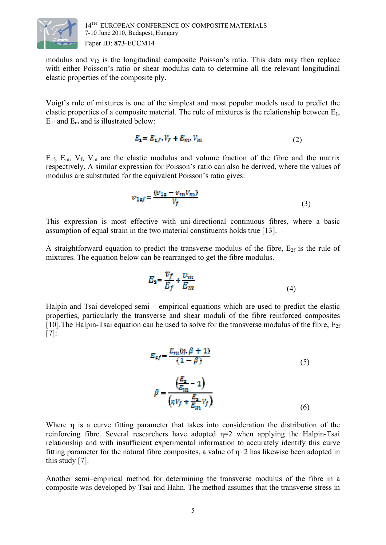

modulus and  $v_{12}$  is the longitudinal composite Poisson's ratio. This data may then replace with either Poisson's ratio or shear modulus data to determine all the relevant longitudinal elastic properties of the composite ply.

Voigt's rule of mixtures is one of the simplest and most popular models used to predict the elastic properties of a composite material. The rule of mixtures is the relationship between  $E_1$ ,  $E_{1f}$  and  $E_m$  and is illustrated below:

$$
E_1 = E_{1,f} \cdot V_f + E_m \cdot V_m \tag{2}
$$

 $E_{1f}$ ,  $E_m$ ,  $V_f$ ,  $V_m$  are the elastic modulus and volume fraction of the fibre and the matrix respectively. A similar expression for Poisson's ratio can also be derived, where the values of modulus are substituted for the equivalent Poisson's ratio gives:

$$
v_{1sf} = \frac{(v_{1s} - v_m V_m)}{V_f}
$$
 (3)

This expression is most effective with uni-directional continuous fibres, where a basic assumption of equal strain in the two material constituents holds true [13].

A straightforward equation to predict the transverse modulus of the fibre,  $E_{2f}$  is the rule of mixtures. The equation below can be rearranged to get the fibre modulus.

$$
E_2 = \frac{v_f}{E_f} + \frac{v_m}{E_m} \tag{4}
$$

Halpin and Tsai developed semi – empirical equations which are used to predict the elastic properties, particularly the transverse and shear moduli of the fibre reinforced composites [10]. The Halpin-Tsai equation can be used to solve for the transverse modulus of the fibre,  $E_{2f}$ [7]:

$$
E_{2f} = \frac{E_m(\eta, \beta + 1)}{(1 - \beta)}
$$
(5)  

$$
\beta = \frac{\left(\frac{E_2}{E_m} - 1\right)}{\left(\eta V_f + \frac{E_2}{E_m} V_f\right)}
$$
(6)

Where η is a curve fitting parameter that takes into consideration the distribution of the reinforcing fibre. Several researchers have adopted  $\eta=2$  when applying the Halpin-Tsai relationship and with insufficient experimental information to accurately identify this curve fitting parameter for the natural fibre composites, a value of  $\eta=2$  has likewise been adopted in this study [7].

Another semi–empirical method for determining the transverse modulus of the fibre in a composite was developed by Tsai and Hahn. The method assumes that the transverse stress in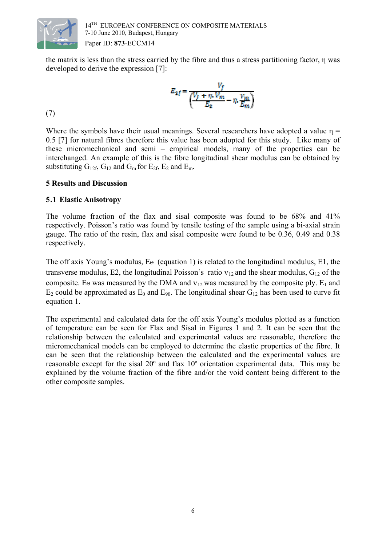

the matrix is less than the stress carried by the fibre and thus a stress partitioning factor, η was developed to derive the expression [7]:

$$
E_{2f} = \frac{V_f}{\left(\frac{V_f + \eta \cdot V_m}{E_2} - \eta \cdot \frac{V_m}{E_m}\right)}
$$
(7)

Where the symbols have their usual meanings. Several researchers have adopted a value  $\eta$  = 0.5 [7] for natural fibres therefore this value has been adopted for this study. Like many of these micromechanical and semi – empirical models, many of the properties can be interchanged. An example of this is the fibre longitudinal shear modulus can be obtained by substituting  $G_{12f}$ ,  $G_{12}$  and  $G_m$  for  $E_{2f}$ ,  $E_2$  and  $E_m$ .

### **5 Results and Discussion**

#### **5.1 Elastic Anisotropy**

The volume fraction of the flax and sisal composite was found to be 68% and 41% respectively. Poisson's ratio was found by tensile testing of the sample using a bi-axial strain gauge. The ratio of the resin, flax and sisal composite were found to be 0.36, 0.49 and 0.38 respectively.

The off axis Young's modulus, E⊖ (equation 1) is related to the longitudinal modulus, E1, the transverse modulus, E2, the longitudinal Poisson's ratio  $v_{12}$  and the shear modulus,  $G_{12}$  of the composite. Eѳ was measured by the DMA and  $v_{12}$  was measured by the composite ply. E<sub>1</sub> and  $E_2$  could be approximated as  $E_0$  and  $E_{90}$ . The longitudinal shear  $G_{12}$  has been used to curve fit equation 1.

The experimental and calculated data for the off axis Young's modulus plotted as a function of temperature can be seen for Flax and Sisal in Figures 1 and 2. It can be seen that the relationship between the calculated and experimental values are reasonable, therefore the micromechanical models can be employed to determine the elastic properties of the fibre. It can be seen that the relationship between the calculated and the experimental values are reasonable except for the sisal 20º and flax 10º orientation experimental data. This may be explained by the volume fraction of the fibre and/or the void content being different to the other composite samples.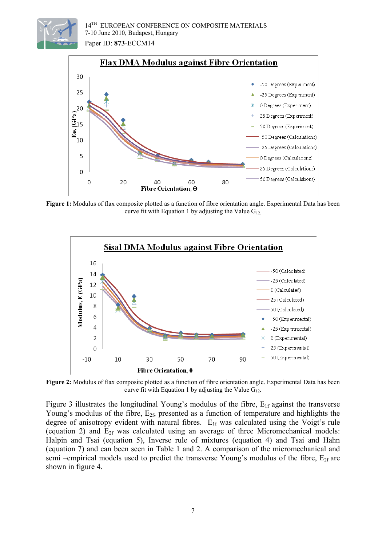



**Figure 1:** Modulus of flax composite plotted as a function of fibre orientation angle. Experimental Data has been curve fit with Equation 1 by adjusting the Value  $G_{12}$ .



**Figure 2:** Modulus of flax composite plotted as a function of fibre orientation angle. Experimental Data has been curve fit with Equation 1 by adjusting the Value  $G_{12}$ .

Figure 3 illustrates the longitudinal Young's modulus of the fibre,  $E_{1f}$  against the transverse Young's modulus of the fibre,  $E_{2f}$ , presented as a function of temperature and highlights the degree of anisotropy evident with natural fibres.  $E_{1f}$  was calculated using the Voigt's rule (equation 2) and  $E_{2f}$  was calculated using an average of three Micromechanical models: Halpin and Tsai (equation 5), Inverse rule of mixtures (equation 4) and Tsai and Hahn (equation 7) and can been seen in Table 1 and 2. A comparison of the micromechanical and semi –empirical models used to predict the transverse Young's modulus of the fibre,  $E_{2f}$  are shown in figure 4.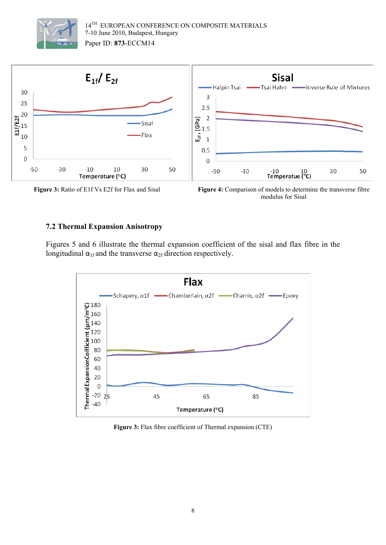







#### **7.2 Thermal Expansion Anisotropy**

Figures 5 and 6 illustrate the thermal expansion coefficient of the sisal and flax fibre in the longitudinal  $\alpha_{1f}$  and the transverse  $\alpha_{2f}$  direction respectively.



**Figure 3:** Flax fibre coefficient of Thermal expansion (CTE)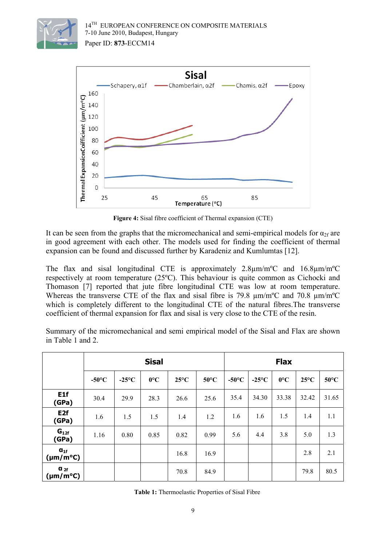



**Figure 4:** Sisal fibre coefficient of Thermal expansion (CTE)

It can be seen from the graphs that the micromechanical and semi-empirical models for  $\alpha_{2f}$  are in good agreement with each other. The models used for finding the coefficient of thermal expansion can be found and discussed further by Karadeniz and Kumlumtas [12].

The flax and sisal longitudinal CTE is approximately 2.8µm/mºC and 16.8µm/mºC respectively at room temperature (25ºC). This behaviour is quite common as Cichocki and Thomason [7] reported that jute fibre longitudinal CTE was low at room temperature. Whereas the transverse CTE of the flax and sisal fibre is 79.8  $\mu$ m/m<sup>o</sup>C and 70.8  $\mu$ m/m<sup>o</sup>C which is completely different to the longitudinal CTE of the natural fibres.The transverse coefficient of thermal expansion for flax and sisal is very close to the CTE of the resin.

Summary of the micromechanical and semi empirical model of the Sisal and Flax are shown in Table 1 and 2.

|                                  | <b>Sisal</b>    |                 |              |                |                | <b>Flax</b>     |                 |              |                |                |
|----------------------------------|-----------------|-----------------|--------------|----------------|----------------|-----------------|-----------------|--------------|----------------|----------------|
|                                  | $-50^{\circ}$ C | $-25^{\circ}$ C | $0^{\circ}C$ | $25^{\circ}$ C | $50^{\circ}$ C | $-50^{\circ}$ C | $-25^{\circ}$ C | $0^{\circ}C$ | $25^{\circ}$ C | $50^{\circ}$ C |
| E <sub>1f</sub><br>(GPa)         | 30.4            | 29.9            | 28.3         | 26.6           | 25.6           | 35.4            | 34.30           | 33.38        | 32.42          | 31.65          |
| E <sub>2f</sub><br>(GPa)         | 1.6             | 1.5             | 1.5          | 1.4            | 1.2            | 1.6             | 1.6             | 1.5          | 1.4            | 1.1            |
| $G_{12f}$<br>(GPa)               | 1.16            | 0.80            | 0.85         | 0.82           | 0.99           | 5.6             | 4.4             | 3.8          | 5.0            | 1.3            |
| $a_{1f}$<br>$(\mu m/m^{\circ}C)$ |                 |                 |              | 16.8           | 16.9           |                 |                 |              | 2.8            | 2.1            |
| $a_{2f}$<br>$(\mu m/m^{\circ}C)$ |                 |                 |              | 70.8           | 84.9           |                 |                 |              | 79.8           | 80.5           |

**Table 1:** Thermoelastic Properties of Sisal Fibre